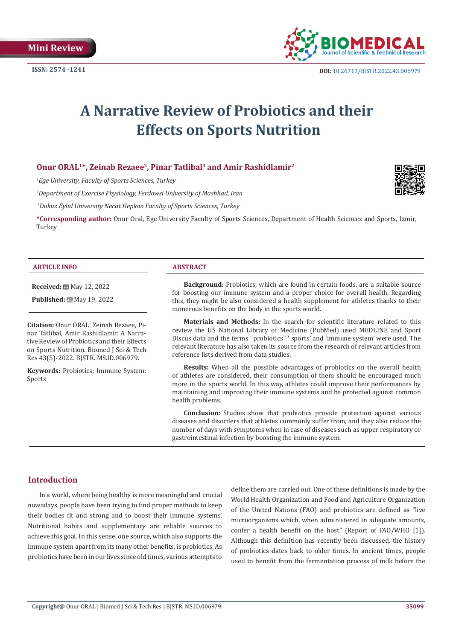

# **A Narrative Review of Probiotics and their Effects on Sports Nutrition**

# **Onur ORAL1\*, Zeinab Rezaee2, Pinar Tatlibal3 and Amir Rashidlamir2**

*1 Ege University, Faculty of Sports Sciences, Turkey*

*2 Department of Exercise Physiology, Ferdowsi University of Mashhad, Iran*

 *3Dokuz Eylul University Necat Hepkon Faculty of Sports Sciences, Turkey*

**\*Corresponding author:** Onur Oral, Ege University Faculty of Sports Sciences, Department of Health Sciences and Sports, Izmir, Turkey

#### **ARTICLE INFO ABSTRACT**

**Received:** ■ May 12, 2022

**Published:** ■ May 19, 2022

**Citation:** Onur ORAL, Zeinab Rezaee, Pinar Tatlibal, Amir Rashidlamir. A Narrative Review of Probiotics and their Effects on Sports Nutrition. Biomed J Sci & Tech Res 43(5)-2022. BJSTR. MS.ID.006979.

**Keywords:** Probiotics; Immune System; Sports

**Background:** Probiotics, which are found in certain foods, are a suitable source for boosting our immune system and a proper choice for overall health. Regarding this, they might be also considered a health supplement for athletes thanks to their numerous benefits on the body in the sports world.

**Materials and Methods:** In the search for scientific literature related to this review the US National Library of Medicine (PubMed) used MEDLINE and Sport Discus data and the terms ' probiotics ' ' sports' and 'immune system' were used. The relevant literature has also taken its source from the research of relevant articles from reference lists derived from data studies.

**Resultsː** When all the possible advantages of probiotics on the overall health of athletes are considered, their consumption of them should be encouraged much more in the sports world. In this way, athletes could improve their performances by maintaining and improving their immune systems and be protected against common health problems.

**Conclusion:** Studies show that probiotics provide protection against various diseases and disorders that athletes commonly suffer from, and they also reduce the number of days with symptoms when in case of diseases such as upper respiratory or gastrointestinal infection by boosting the immune system.

# **Introduction**

In a world, where being healthy is more meaningful and crucial nowadays, people have been trying to find proper methods to keep their bodies fit and strong and to boost their immune systems. Nutritional habits and supplementary are reliable sources to achieve this goal. In this sense, one source, which also supports the immune system apart from its many other benefits, is probiotics. As probiotics have been in our lives since old times, various attempts to

define them are carried out. One of these definitions is made by the World Health Organization and Food and Agriculture Organization of the United Nations (FAO) and probiotics are defined as "live microorganisms which, when administered in adequate amounts, confer a health benefit on the host" (Report of FAO/WHO [1]). Although this definition has recently been discussed, the history of probiotics dates back to older times. In ancient times, people used to benefit from the fermentation process of milk before the

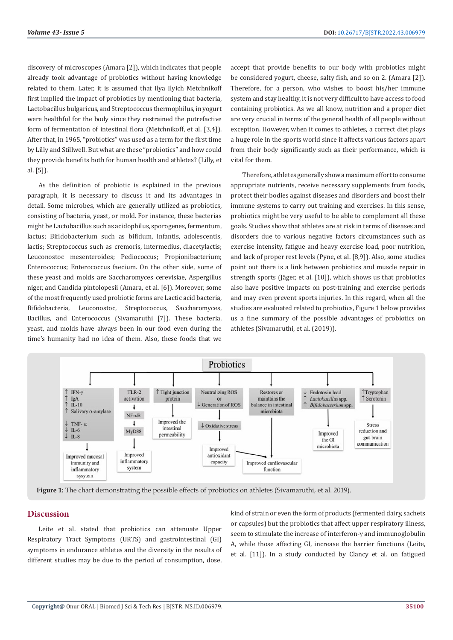discovery of microscopes (Amara [2]), which indicates that people already took advantage of probiotics without having knowledge related to them. Later, it is assumed that Ilya Ilyich Metchnikoff first implied the impact of probiotics by mentioning that bacteria, Lactobacillus bulgaricus, and Streptococcus thermophilus, in yogurt were healthful for the body since they restrained the putrefactive form of fermentation of intestinal flora (Metchnikoff, et al. [3,4]). After that, in 1965, "probiotics" was used as a term for the first time by Lilly and Stillwell. But what are these "probiotics" and how could they provide benefits both for human health and athletes? (Lilly, et al. [5]).

As the definition of probiotic is explained in the previous paragraph, it is necessary to discuss it and its advantages in detail. Some microbes, which are generally utilized as probiotics, consisting of bacteria, yeast, or mold. For instance, these bacterias might be Lactobacillus such as acidophilus, sporogenes, fermentum, lactus; Bifidobacterium such as bifidum, infantis, adolescentis, lactis; Streptococcus such as cremoris, intermedius, diacetylactis; Leuconostoc mesenteroides; Pediococcus; Propionibacterium; Enterococcus; Enterococcus faecium. On the other side, some of these yeast and molds are Saccharomyces cerevisiae, Aspergillus niger, and Candida pintolopesii (Amara, et al. [6]). Moreover, some of the most frequently used probiotic forms are Lactic acid bacteria, Bifidobacteria, Leuconostoc, Streptococcus, Saccharomyces, Bacillus, and Enterococcus (Sivamaruthi [7]). These bacteria, yeast, and molds have always been in our food even during the time's humanity had no idea of them. Also, these foods that we

accept that provide benefits to our body with probiotics might be considered yogurt, cheese, salty fish, and so on 2. (Amara [2]). Therefore, for a person, who wishes to boost his/her immune system and stay healthy, it is not very difficult to have access to food containing probiotics. As we all know, nutrition and a proper diet are very crucial in terms of the general health of all people without exception. However, when it comes to athletes, a correct diet plays a huge role in the sports world since it affects various factors apart from their body significantly such as their performance, which is vital for them.

Therefore, athletes generally show a maximum effort to consume appropriate nutrients, receive necessary supplements from foods, protect their bodies against diseases and disorders and boost their immune systems to carry out training and exercises. In this sense, probiotics might be very useful to be able to complement all these goals. Studies show that athletes are at risk in terms of diseases and disorders due to various negative factors circumstances such as exercise intensity, fatigue and heavy exercise load, poor nutrition, and lack of proper rest levels (Pyne, et al. [8,9]). Also, some studies point out there is a link between probiotics and muscle repair in strength sports (Jäger, et al. [10]), which shows us that probiotics also have positive impacts on post-training and exercise periods and may even prevent sports injuries. In this regard, when all the studies are evaluated related to probiotics, Figure 1 below provides us a fine summary of the possible advantages of probiotics on athletes (Sivamaruthi, et al. (2019)).



**Figure 1:** The chart demonstrating the possible effects of probiotics on athletes (Sivamaruthi, et al. 2019).

#### **Discussion**

Leite et al. stated that probiotics can attenuate Upper Respiratory Tract Symptoms (URTS) and gastrointestinal (GI) symptoms in endurance athletes and the diversity in the results of different studies may be due to the period of consumption, dose,

kind of strain or even the form of products (fermented dairy, sachets or capsules) but the probiotics that affect upper respiratory illness, seem to stimulate the increase of interferon-γ and immunoglobulin A, while those affecting GI, increase the barrier functions (Leite, et al. [11]). In a study conducted by Clancy et al. on fatigued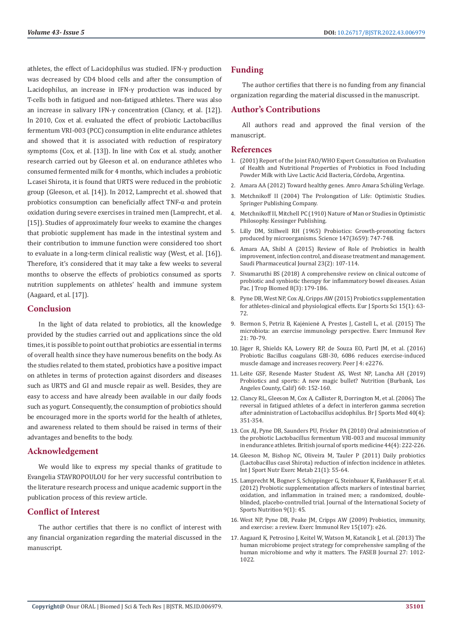athletes, the effect of L.acidophilus was studied. IFN-γ production was decreased by CD4 blood cells and after the consumption of L.acidophilus, an increase in IFN-γ production was induced by T-cells both in fatigued and non-fatigued athletes. There was also an increase in salivary IFN-γ concentration (Clancy, et al. [12]). In 2010, Cox et al. evaluated the effect of probiotic Lactobacillus fermentum VRI-003 (PCC) consumption in elite endurance athletes and showed that it is associated with reduction of respiratory symptoms (Cox, et al. [13]). In line with Cox et al. study, another research carried out by Gleeson et al. on endurance athletes who consumed fermented milk for 4 months, which includes a probiotic L.casei Shirota, it is found that URTS were reduced in the probiotic group (Gleeson, et al. [14]). In 2012, Lamprecht et al. showed that probiotics consumption can beneficially affect TNF-α and protein oxidation during severe exercises in trained men (Lamprecht, et al. [15]). Studies of approximately four weeks to examine the changes that probiotic supplement has made in the intestinal system and their contribution to immune function were considered too short to evaluate in a long-term clinical realistic way (West, et al. [16]). Therefore, it's considered that it may take a few weeks to several months to observe the effects of probiotics consumed as sports nutrition supplements on athletes' health and immune system (Aagaard, et al. [17]).

#### **Conclusion**

In the light of data related to probiotics, all the knowledge provided by the studies carried out and applications since the old times, it is possible to point out that probiotics are essential in terms of overall health since they have numerous benefits on the body. As the studies related to them stated, probiotics have a positive impact on athletes in terms of protection against disorders and diseases such as URTS and GI and muscle repair as well. Besides, they are easy to access and have already been available in our daily foods such as yogurt. Consequently, the consumption of probiotics should be encouraged more in the sports world for the health of athletes, and awareness related to them should be raised in terms of their advantages and benefits to the body.

#### **Acknowledgement**

We would like to express my special thanks of gratitude to Evangelia STAVROPOULOU for her very successful contribution to the literature research process and unique academic support in the publication process of this review article.

# **Conflict of Interest**

The author certifies that there is no conflict of interest with any financial organization regarding the material discussed in the manuscript.

# **Funding**

The author certifies that there is no funding from any financial organization regarding the material discussed in the manuscript.

# **Author's Contributions**

All authors read and approved the final version of the manuscript.

### **References**

- 1. (2001) Report of the Joint FAO/WHO Expert Consultation on Evaluation of Health and Nutritional Properties of Probiotics in Food Including Powder Milk with Live Lactic Acid Bacteria, Córdoba, Argentina.
- 2. Amara AA (2012) Toward healthy genes. Amro Amara Schüling Verlage.
- 3. [Metchnikoff II \(2004\) The Prolongation of Life: Optimistic Studies.](https://books.google.co.in/books/about/The_Prolongation_of_Life.html?id=CxKIngEACAAJ&redir_esc=y) [Springer Publishing Company.](https://books.google.co.in/books/about/The_Prolongation_of_Life.html?id=CxKIngEACAAJ&redir_esc=y)
- 4. [Metchnikoff II, Mitchell PC \(1910\) Nature of Man or Studies in Optimistic](https://archive.org/details/naturemanstudie00mitcgoog) [Philosophy. Kessinger Publishing.](https://archive.org/details/naturemanstudie00mitcgoog)
- 5. [Lilly DM, Stillwell RH \(1965\) Probiotics: Growth-promoting factors](https://pubmed.ncbi.nlm.nih.gov/14242024/) [produced by microorganisms. Science 147\(3659\): 747-748.](https://pubmed.ncbi.nlm.nih.gov/14242024/)
- 6. [Amara AA, Shibl A \(2015\) Review of Role of Probiotics in health](https://pubmed.ncbi.nlm.nih.gov/25972729/) [improvement, infection control, and disease treatment and management.](https://pubmed.ncbi.nlm.nih.gov/25972729/) [Saudi Pharmaceutical Journal 23\(2\): 107-114.](https://pubmed.ncbi.nlm.nih.gov/25972729/)
- 7. [Sivamaruthi BS \(2018\) A comprehensive review on clinical outcome of](https://www.apjtb.org/article.asp?issn=2221-1691;year=2018;volume=8;issue=3;spage=179;epage=186;aulast=Sivamaruthi) [probiotic and synbiotic therapy for inflammatory bowel diseases. Asian](https://www.apjtb.org/article.asp?issn=2221-1691;year=2018;volume=8;issue=3;spage=179;epage=186;aulast=Sivamaruthi) [Pac. J Trop Biomed 8\(3\): 179-186.](https://www.apjtb.org/article.asp?issn=2221-1691;year=2018;volume=8;issue=3;spage=179;epage=186;aulast=Sivamaruthi)
- 8. [Pyne DB, West NP, Cox AJ, Cripps AW \(2015\) Probiotics supplementation](https://pubmed.ncbi.nlm.nih.gov/25339255/) [for athletes-clinical and physiological effects. Eur J Sports Sci 15\(1\): 63-](https://pubmed.ncbi.nlm.nih.gov/25339255/) [72.](https://pubmed.ncbi.nlm.nih.gov/25339255/)
- 9. Bermon S, Petriz B, Kajėnienė [A, Prestes J, Castell L, et al. \(2015\) The](https://pubmed.ncbi.nlm.nih.gov/25825908/) [microbiota: an exercise immunology perspective. Exerc Immunol Rev](https://pubmed.ncbi.nlm.nih.gov/25825908/) [21: 70-79.](https://pubmed.ncbi.nlm.nih.gov/25825908/)
- 10. Jä[ger R, Shields KA, Lowery RP, de Souza EO, Partl JM, et al. \(2016\)](https://pubmed.ncbi.nlm.nih.gov/27547577/) [Probiotic Bacillus coagulans GBI-30, 6086 reduces exercise-induced](https://pubmed.ncbi.nlm.nih.gov/27547577/) [muscle damage and increases recovery. Peer J 4: e2276.](https://pubmed.ncbi.nlm.nih.gov/27547577/)
- 11. [Leite GSF, Resende Master Student AS, West NP, Lancha AH \(2019\)](https://pubmed.ncbi.nlm.nih.gov/30590242/) [Probiotics and sports: A new magic bullet? Nutrition \(Burbank, Los](https://pubmed.ncbi.nlm.nih.gov/30590242/) [Angeles County, Calif\) 60: 152-160.](https://pubmed.ncbi.nlm.nih.gov/30590242/)
- 12. [Clancy RL, Gleeson M, Cox A, Callister R, Dorrington M, et al. \(2006\) The](https://pubmed.ncbi.nlm.nih.gov/16556792/) [reversal in fatigued athletes of a defect in interferon gamma secretion](https://pubmed.ncbi.nlm.nih.gov/16556792/) [after administration of Lactobacillus acidophilus. Br J Sports Med 40\(4\):](https://pubmed.ncbi.nlm.nih.gov/16556792/) [351-354.](https://pubmed.ncbi.nlm.nih.gov/16556792/)
- 13. [Cox AJ, Pyne DB, Saunders PU, Fricker PA \(2010\) Oral administration of](https://pubmed.ncbi.nlm.nih.gov/18272539/) [the probiotic Lactobacillus fermentum VRI-003 and mucosal immunity](https://pubmed.ncbi.nlm.nih.gov/18272539/) [in endurance athletes. British journal of sports medicine 44\(4\): 222-226.](https://pubmed.ncbi.nlm.nih.gov/18272539/)
- 14. [Gleeson M, Bishop NC, Oliveira M, Tauler P \(2011\) Daily probiotics](https://pubmed.ncbi.nlm.nih.gov/21411836/) [\(Lactobacillus casei Shirota\) reduction of infection incidence in athletes.](https://pubmed.ncbi.nlm.nih.gov/21411836/) [Int J Sport Nutr Exerc Metab 21\(1\): 55-64.](https://pubmed.ncbi.nlm.nih.gov/21411836/)
- 15. [Lamprecht M, Bogner S, Schippinger G, Steinbauer K, Fankhauser F, et al.](https://pubmed.ncbi.nlm.nih.gov/22992437/) [\(2012\) Probiotic supplementation affects markers of intestinal barrier,](https://pubmed.ncbi.nlm.nih.gov/22992437/) [oxidation, and inflammation in trained men; a randomized, double](https://pubmed.ncbi.nlm.nih.gov/22992437/)[blinded, placebo-controlled trial. Journal of the International Society of](https://pubmed.ncbi.nlm.nih.gov/22992437/) [Sports Nutrition 9\(1\): 45.](https://pubmed.ncbi.nlm.nih.gov/22992437/)
- 16. [West NP, Pyne DB, Peake JM, Cripps AW \(2009\) Probiotics, immunity,](https://pubmed.ncbi.nlm.nih.gov/19957873/) [and exercise: a review. Exerc Immunol Rev 15\(107\): e26.](https://pubmed.ncbi.nlm.nih.gov/19957873/)
- 17. [Aagaard K, Petrosino J, Keitel W, Watson M, Katancik J, et al. \(2013\) The](https://pubmed.ncbi.nlm.nih.gov/23165986/) [human microbiome project strategy for comprehensive sampling of the](https://pubmed.ncbi.nlm.nih.gov/23165986/) [human microbiome and why it matters. The FASEB Journal 27: 1012-](https://pubmed.ncbi.nlm.nih.gov/23165986/) [1022.](https://pubmed.ncbi.nlm.nih.gov/23165986/)